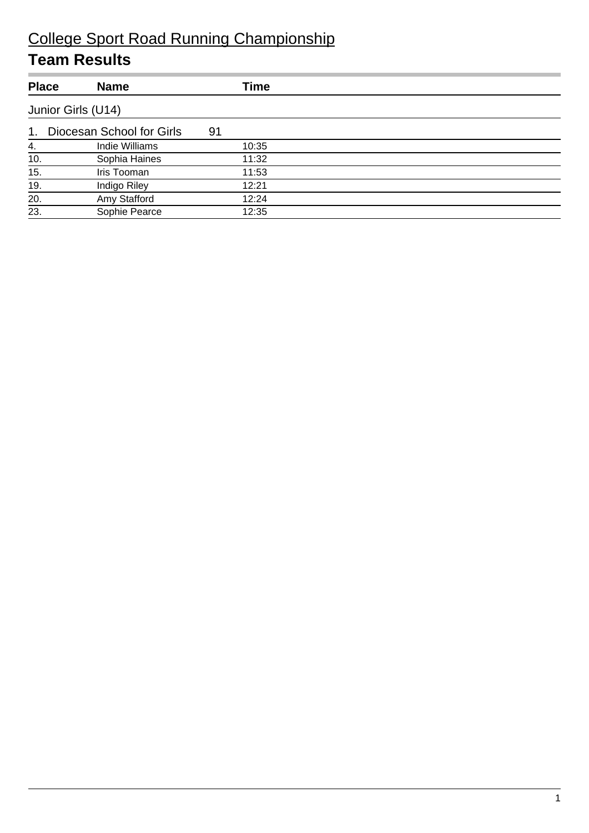| <b>Place</b> | <b>Name</b>               | Time  |  |  |  |  |
|--------------|---------------------------|-------|--|--|--|--|
|              | Junior Girls (U14)        |       |  |  |  |  |
| 1.           | Diocesan School for Girls | 91    |  |  |  |  |
| 4.           | Indie Williams            | 10:35 |  |  |  |  |
| 10.          | Sophia Haines             | 11:32 |  |  |  |  |
| 15.          | Iris Tooman               | 11:53 |  |  |  |  |
| 19.          | Indigo Riley              | 12:21 |  |  |  |  |
| 20.          | Amy Stafford              | 12:24 |  |  |  |  |
| 23.          | Sophie Pearce             | 12:35 |  |  |  |  |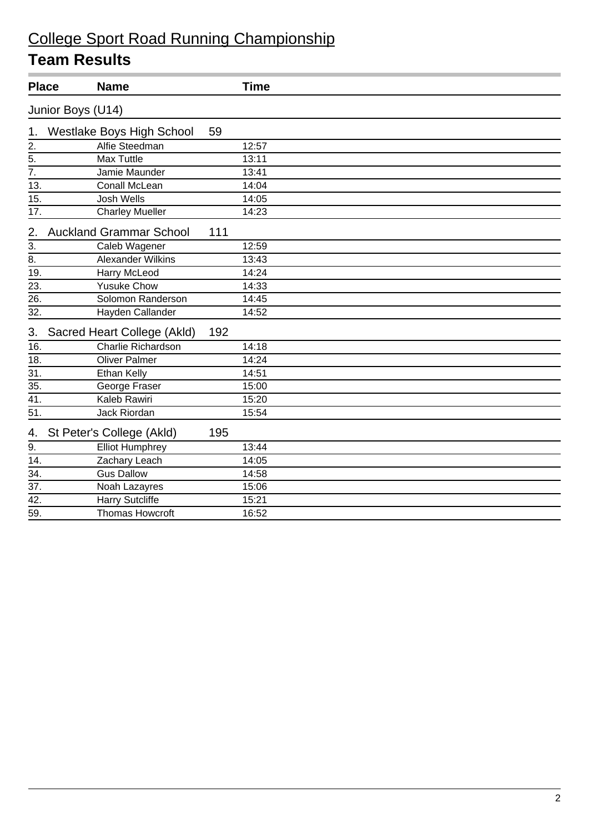|                   | <b>Place</b>      | <b>Name</b>                      |     | <b>Time</b> |  |
|-------------------|-------------------|----------------------------------|-----|-------------|--|
|                   | Junior Boys (U14) |                                  |     |             |  |
| 1.                |                   | <b>Westlake Boys High School</b> | 59  |             |  |
| $\overline{2}$ .  |                   | Alfie Steedman                   |     | 12:57       |  |
| $\overline{5}$ .  |                   | Max Tuttle                       |     | 13:11       |  |
| $\overline{7}$ .  |                   | Jamie Maunder                    |     | 13:41       |  |
| 13.               |                   | Conall McLean                    |     | 14:04       |  |
| 15.               |                   | <b>Josh Wells</b>                |     | 14:05       |  |
| 17.               |                   | <b>Charley Mueller</b>           |     | 14:23       |  |
| 2.                |                   | <b>Auckland Grammar School</b>   | 111 |             |  |
| $\overline{3}$ .  |                   | Caleb Wagener                    |     | 12:59       |  |
| $\overline{8}$ .  |                   | <b>Alexander Wilkins</b>         |     | 13:43       |  |
| 19.               |                   | Harry McLeod                     |     | 14:24       |  |
| 23.               |                   | <b>Yusuke Chow</b>               |     | 14:33       |  |
| 26.               |                   | Solomon Randerson                |     | 14:45       |  |
| 32.               |                   | Hayden Callander                 |     | 14:52       |  |
| 3.                |                   | Sacred Heart College (Akld)      | 192 |             |  |
| 16.               |                   | Charlie Richardson               |     | 14:18       |  |
| 18.               |                   | <b>Oliver Palmer</b>             |     | 14:24       |  |
| 31.               |                   | <b>Ethan Kelly</b>               |     | 14:51       |  |
| $\overline{35}$ . |                   | George Fraser                    |     | 15:00       |  |
| 41.               |                   | Kaleb Rawiri                     |     | 15:20       |  |
| $\overline{51}$   |                   | <b>Jack Riordan</b>              |     | 15:54       |  |
| 4.                |                   | St Peter's College (Akld)        | 195 |             |  |
| 9.                |                   | <b>Elliot Humphrey</b>           |     | 13:44       |  |
| 14.               |                   | Zachary Leach                    |     | 14:05       |  |
| $\overline{34}$ . |                   | <b>Gus Dallow</b>                |     | 14:58       |  |
| $\overline{37}$ . |                   | Noah Lazayres                    |     | 15:06       |  |
| 42.               |                   | <b>Harry Sutcliffe</b>           |     | 15:21       |  |
| 59.               |                   | <b>Thomas Howcroft</b>           |     | 16:52       |  |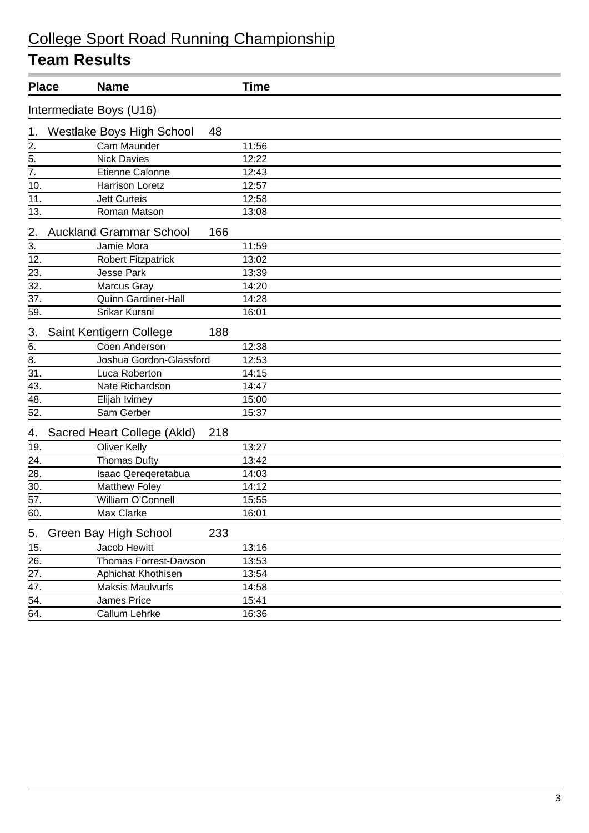| <b>Place</b>      |                         | <b>Name</b>                            | <b>Time</b> |  |  |
|-------------------|-------------------------|----------------------------------------|-------------|--|--|
|                   | Intermediate Boys (U16) |                                        |             |  |  |
| 1.                |                         | <b>Westlake Boys High School</b><br>48 |             |  |  |
| 2.                |                         | Cam Maunder                            | 11:56       |  |  |
| 5.                |                         | <b>Nick Davies</b>                     | 12:22       |  |  |
| $\overline{7}$ .  |                         | Etienne Calonne                        | 12:43       |  |  |
| 10.               |                         | <b>Harrison Loretz</b>                 | 12:57       |  |  |
| 11.               |                         | <b>Jett Curteis</b>                    | 12:58       |  |  |
| 13.               |                         | Roman Matson                           | 13:08       |  |  |
| 2.                |                         | 166<br><b>Auckland Grammar School</b>  |             |  |  |
| 3.                |                         | Jamie Mora                             | 11:59       |  |  |
| 12.               |                         | <b>Robert Fitzpatrick</b>              | 13:02       |  |  |
| 23.               |                         | <b>Jesse Park</b>                      | 13:39       |  |  |
| 32.               |                         | Marcus Gray                            | 14:20       |  |  |
| 37.               |                         | <b>Quinn Gardiner-Hall</b>             | 14:28       |  |  |
| 59.               |                         | Srikar Kurani                          | 16:01       |  |  |
| 3.                | Saint Kentigern College | 188                                    |             |  |  |
| 6.                |                         | Coen Anderson                          | 12:38       |  |  |
| 8.                |                         | Joshua Gordon-Glassford                | 12:53       |  |  |
| 31.               |                         | Luca Roberton                          | 14:15       |  |  |
| 43.               |                         | Nate Richardson                        | 14:47       |  |  |
| 48.               |                         | Elijah Ivimey                          | 15:00       |  |  |
| 52.               |                         | Sam Gerber                             | 15:37       |  |  |
| 4.                |                         | Sacred Heart College (Akld)<br>218     |             |  |  |
| 19.               |                         | Oliver Kelly                           | 13:27       |  |  |
| 24.               |                         | <b>Thomas Dufty</b>                    | 13:42       |  |  |
| 28.               |                         | Isaac Qereqeretabua                    | 14:03       |  |  |
| 30.               |                         | <b>Matthew Foley</b>                   | 14:12       |  |  |
| 57.               |                         | William O'Connell                      | 15:55       |  |  |
| 60.               |                         | Max Clarke                             | 16:01       |  |  |
| 5.                | Green Bay High School   | 233                                    |             |  |  |
| 15.               |                         | Jacob Hewitt                           | 13:16       |  |  |
| $\overline{26}$ . |                         | Thomas Forrest-Dawson                  | 13:53       |  |  |
| 27.               |                         | Aphichat Khothisen                     | 13:54       |  |  |
| 47.               |                         | <b>Maksis Maulvurfs</b>                | 14:58       |  |  |
| 54.               |                         | James Price                            | 15:41       |  |  |
| 64.               |                         | Callum Lehrke                          | 16:36       |  |  |
|                   |                         |                                        |             |  |  |